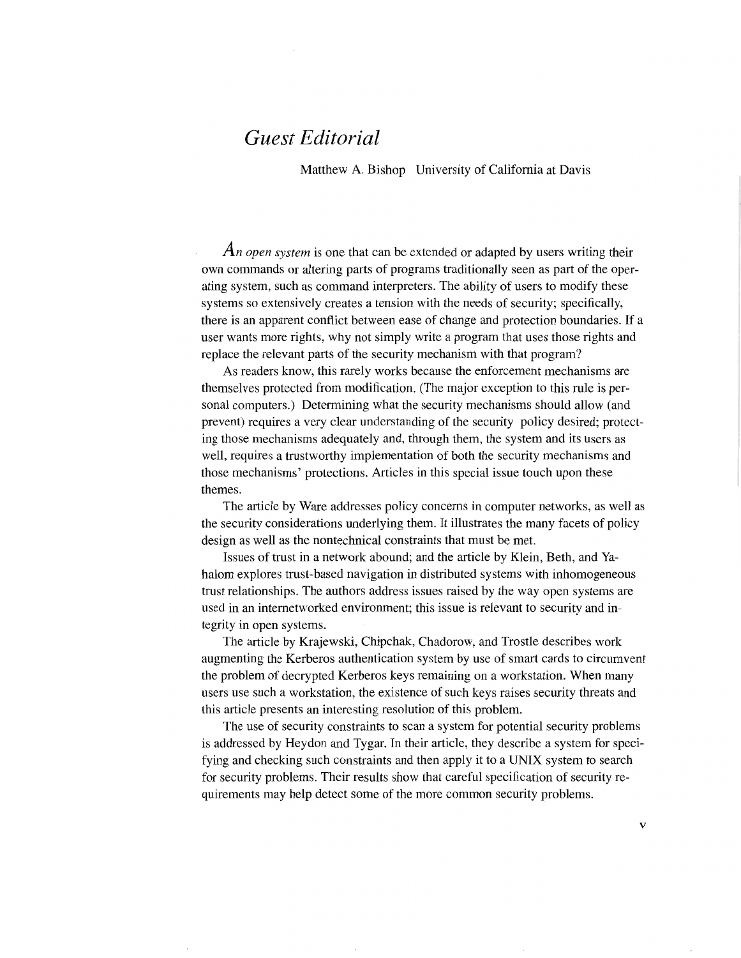## Guest Editorial

Matthew A. Bishop University of California at Davis

An open system is one that can be extended or adapted by users writing their own commands or altering parts of programs traditionally seen as part of the operating system, such as command interpreters. The ability of users to modify these systems so extensively creates a tension with the needs of security; specifically, there is an apparent conflict between ease of change and protection boundaries. If a user wants more rights, why not simply write a program that uses those rights and replace the relevant parts of the security mechanism with that program?

As readers know, this rarely works because the enforcement mechanisms are themselves protected from modification. (The major exception to this rule is personal computers.) Determining what the security mechanisms should allow (and prevent) requires a very clear understanding of the security policy desired; protecting those mechanisms adequately and, through them, the system and its users as well, requires a trustworthy implementation of both the security mechanisms and those mechanisms' protections. Articles in this special issue touch upon these themes.

The article by Ware addresses policy concems in computer networks, as well as the security considerations underlying them. It illustrates the many facets of policy design as well as the nontechnical constraints that must be met.

Issues of trust in a network abound; and the article by Klein, Beth, and Yahalom explores trust-based navigation in distributed systems with inhomogeneous trust relationships. The authors address issues raised by the way open systems are used in an intemetworked environment; this issue is relevant to security and integrity in open systems.

The article by Krajewski, Chipchak, Chadorow, and Trostle describes work augmenting the Kerberos authentication system by use of smart cards to circumvent the problem of decrypted Kerberos keys remaining on a workstation. When many users use such a workstation, the existence of such keys raises security threats and this article presents an interesting resolution of this problem.

The use of security constraints to scan a system for potential security problems is addressed by Heydon and Tygar. In their article, they describe a system for specifying and checking such constraints and then apply it to a UNIX system to search for security problems. Their results show that careful specification of security requirements may help detect some of the more common security problems.